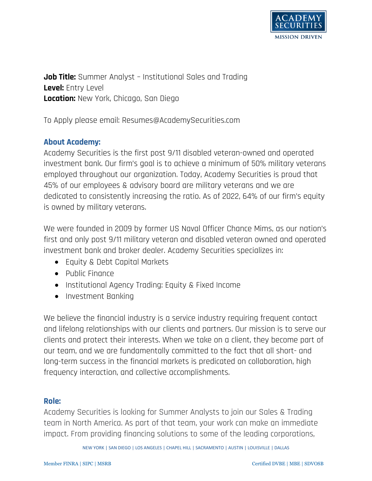

**Job Title:** Summer Analyst – Institutional Sales and Trading **Level:** Entry Level **Location:** New York, Chicago, San Diego

To Apply please email: Resumes@AcademySecurities.com

## **About Academy:**

Academy Securities is the first post 9/11 disabled veteran-owned and operated investment bank. Our firm's goal is to achieve a minimum of 50% military veterans employed throughout our organization. Today, Academy Securities is proud that 45% of our employees & advisory board are military veterans and we are dedicated to consistently increasing the ratio. As of 2022, 64% of our firm's equity is owned by military veterans.

We were founded in 2009 by former US Naval Officer Chance Mims, as our nation's first and only post 9/11 military veteran and disabled veteran owned and operated investment bank and broker dealer. Academy Securities specializes in:

- Equity & Debt Capital Markets
- Public Finance
- Institutional Agency Trading: Equity & Fixed Income
- Investment Banking

We believe the financial industry is a service industry requiring frequent contact and lifelong relationships with our clients and partners. Our mission is to serve our clients and protect their interests. When we take on a client, they become part of our team, and we are fundamentally committed to the fact that all short- and long-term success in the financial markets is predicated on collaboration, high frequency interaction, and collective accomplishments.

## **Role:**

Academy Securities is looking for Summer Analysts to join our Sales & Trading team in North America. As part of that team, your work can make an immediate impact. From providing financing solutions to some of the leading corporations,

NEW YORK | SAN DIEGO | LOS ANGELES | CHAPEL HILL | SACRAMENTO | AUSTIN | LOUISVILLE | DALLAS